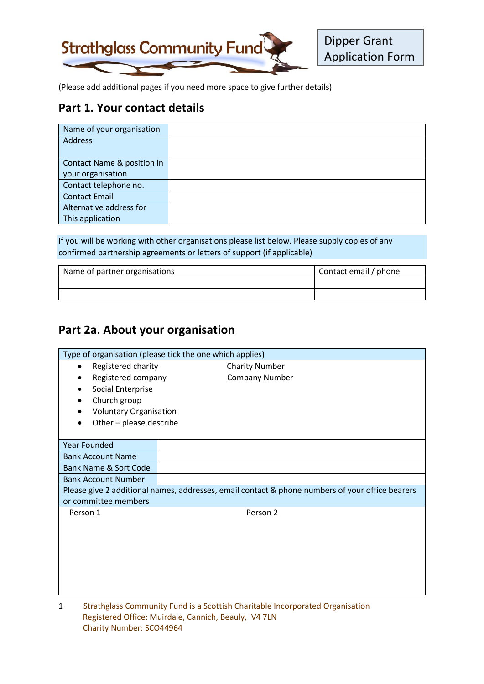

(Please add additional pages if you need more space to give further details)

#### **Part 1. Your contact details**

| Name of your organisation  |  |
|----------------------------|--|
| <b>Address</b>             |  |
|                            |  |
| Contact Name & position in |  |
| your organisation          |  |
| Contact telephone no.      |  |
| <b>Contact Email</b>       |  |
| Alternative address for    |  |
| This application           |  |

If you will be working with other organisations please list below. Please supply copies of any confirmed partnership agreements or letters of support (if applicable)

| Name of partner organisations | Contact email / phone |
|-------------------------------|-----------------------|
|                               |                       |
|                               |                       |

## **Part 2a. About your organisation**

| Type of organisation (please tick the one which applies) |  |                                                                                                 |  |
|----------------------------------------------------------|--|-------------------------------------------------------------------------------------------------|--|
| Registered charity<br>$\bullet$                          |  | <b>Charity Number</b>                                                                           |  |
| Registered company                                       |  | <b>Company Number</b>                                                                           |  |
| Social Enterprise                                        |  |                                                                                                 |  |
| Church group                                             |  |                                                                                                 |  |
| <b>Voluntary Organisation</b>                            |  |                                                                                                 |  |
| Other - please describe                                  |  |                                                                                                 |  |
|                                                          |  |                                                                                                 |  |
| <b>Year Founded</b>                                      |  |                                                                                                 |  |
| <b>Bank Account Name</b>                                 |  |                                                                                                 |  |
| <b>Bank Name &amp; Sort Code</b>                         |  |                                                                                                 |  |
| <b>Bank Account Number</b>                               |  |                                                                                                 |  |
|                                                          |  | Please give 2 additional names, addresses, email contact & phone numbers of your office bearers |  |
| or committee members                                     |  |                                                                                                 |  |
| Person 1                                                 |  | Person 2                                                                                        |  |
|                                                          |  |                                                                                                 |  |
|                                                          |  |                                                                                                 |  |
|                                                          |  |                                                                                                 |  |
|                                                          |  |                                                                                                 |  |
|                                                          |  |                                                                                                 |  |
|                                                          |  |                                                                                                 |  |
|                                                          |  |                                                                                                 |  |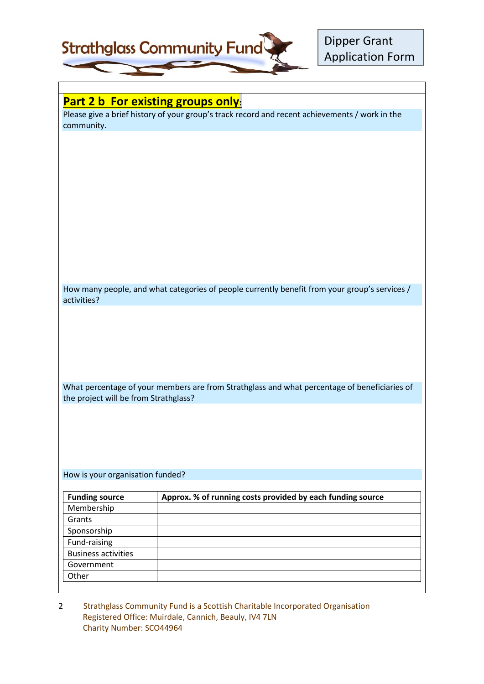| <b>Strathglass Community Fund</b> |  |
|-----------------------------------|--|
|                                   |  |

| Part 2 b For existing groups only:    |                                                                                                |
|---------------------------------------|------------------------------------------------------------------------------------------------|
|                                       | Please give a brief history of your group's track record and recent achievements / work in the |
| community.                            |                                                                                                |
|                                       |                                                                                                |
|                                       |                                                                                                |
|                                       |                                                                                                |
|                                       |                                                                                                |
|                                       |                                                                                                |
|                                       |                                                                                                |
|                                       |                                                                                                |
|                                       |                                                                                                |
|                                       |                                                                                                |
|                                       |                                                                                                |
|                                       |                                                                                                |
|                                       |                                                                                                |
|                                       | How many people, and what categories of people currently benefit from your group's services /  |
| activities?                           |                                                                                                |
|                                       |                                                                                                |
|                                       |                                                                                                |
|                                       |                                                                                                |
|                                       |                                                                                                |
|                                       |                                                                                                |
|                                       |                                                                                                |
|                                       | What percentage of your members are from Strathglass and what percentage of beneficiaries of   |
| the project will be from Strathglass? |                                                                                                |
|                                       |                                                                                                |
|                                       |                                                                                                |
|                                       |                                                                                                |
|                                       |                                                                                                |
|                                       |                                                                                                |
| How is your organisation funded?      |                                                                                                |
|                                       |                                                                                                |
| <b>Funding source</b>                 | Approx. % of running costs provided by each funding source                                     |
| Membership                            |                                                                                                |
| Grants                                |                                                                                                |
| Sponsorship                           |                                                                                                |
| Fund-raising                          |                                                                                                |
| <b>Business activities</b>            |                                                                                                |
| Government                            |                                                                                                |
| Other                                 |                                                                                                |
|                                       |                                                                                                |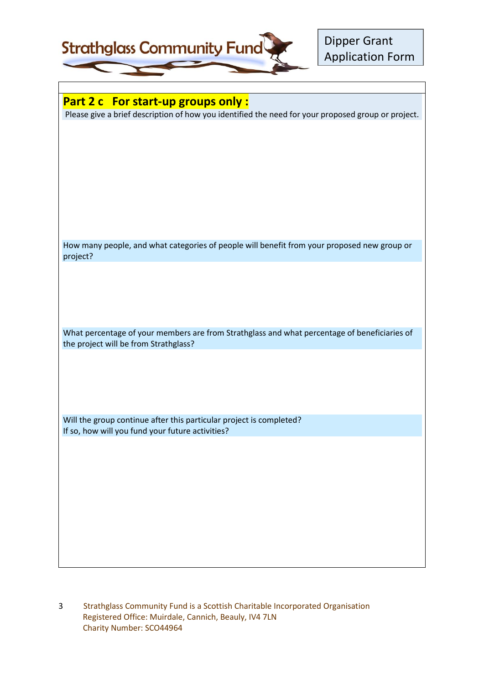

| Part 2 c For start-up groups only:                                                                      |
|---------------------------------------------------------------------------------------------------------|
| Please give a brief description of how you identified the need for your proposed group or project.      |
|                                                                                                         |
|                                                                                                         |
|                                                                                                         |
|                                                                                                         |
|                                                                                                         |
|                                                                                                         |
|                                                                                                         |
|                                                                                                         |
| How many people, and what categories of people will benefit from your proposed new group or<br>project? |
|                                                                                                         |
|                                                                                                         |
|                                                                                                         |
|                                                                                                         |
| What percentage of your members are from Strathglass and what percentage of beneficiaries of            |
| the project will be from Strathglass?                                                                   |
|                                                                                                         |
|                                                                                                         |
|                                                                                                         |
|                                                                                                         |
| Will the group continue after this particular project is completed?                                     |
| If so, how will you fund your future activities?                                                        |
|                                                                                                         |
|                                                                                                         |
|                                                                                                         |
|                                                                                                         |
|                                                                                                         |
|                                                                                                         |
|                                                                                                         |
|                                                                                                         |
|                                                                                                         |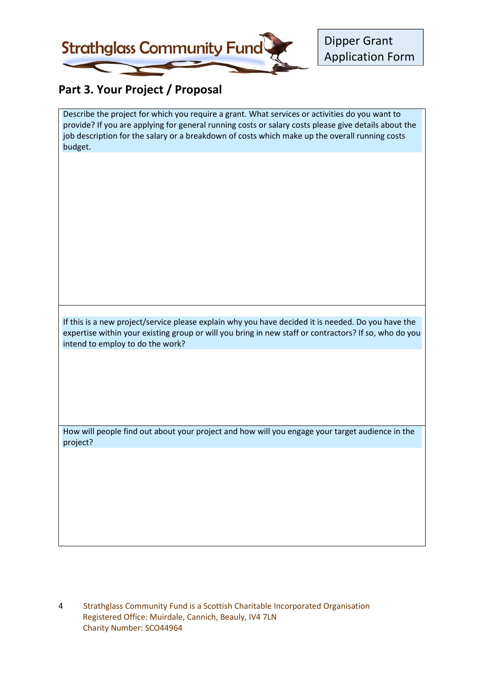

## **Part 3. Your Project / Proposal**

Describe the project for which you require a grant. What services or activities do you want to provide? If you are applying for general running costs or salary costs please give details about the job description for the salary or a breakdown of costs which make up the overall running costs budget.

If this is a new project/service please explain why you have decided it is needed. Do you have the expertise within your existing group or will you bring in new staff or contractors? If so, who do you intend to employ to do the work?

How will people find out about your project and how will you engage your target audience in the project?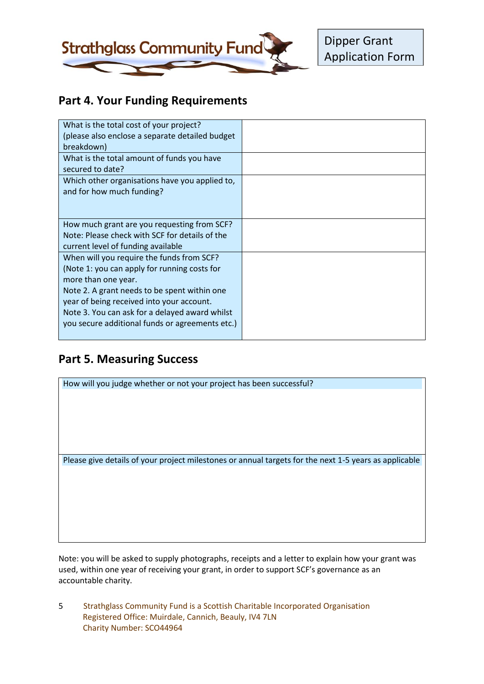

## **Part 4. Your Funding Requirements**

| What is the total cost of your project?         |  |
|-------------------------------------------------|--|
| (please also enclose a separate detailed budget |  |
| breakdown)                                      |  |
| What is the total amount of funds you have      |  |
| secured to date?                                |  |
| Which other organisations have you applied to,  |  |
| and for how much funding?                       |  |
|                                                 |  |
|                                                 |  |
| How much grant are you requesting from SCF?     |  |
| Note: Please check with SCF for details of the  |  |
| current level of funding available              |  |
| When will you require the funds from SCF?       |  |
| (Note 1: you can apply for running costs for    |  |
| more than one year.                             |  |
| Note 2. A grant needs to be spent within one    |  |
| year of being received into your account.       |  |
| Note 3. You can ask for a delayed award whilst  |  |
| you secure additional funds or agreements etc.) |  |
|                                                 |  |

#### **Part 5. Measuring Success**



Note: you will be asked to supply photographs, receipts and a letter to explain how your grant was used, within one year of receiving your grant, in order to support SCF's governance as an accountable charity.